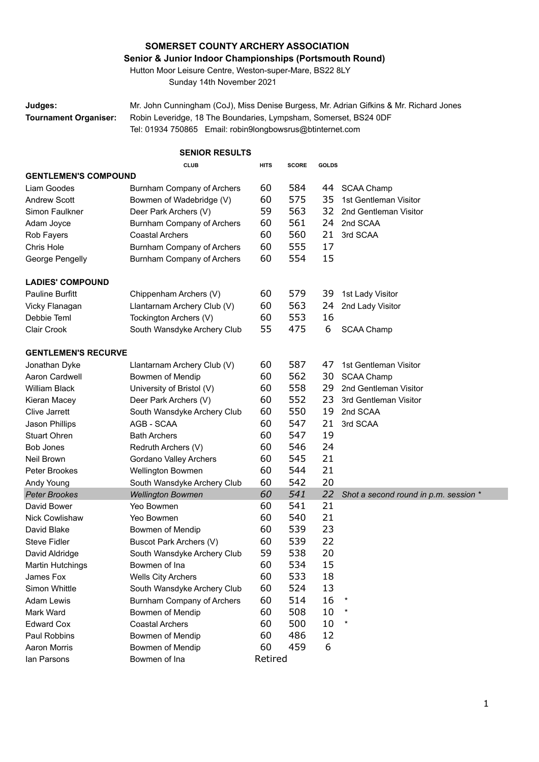## **SOMERSET COUNTY ARCHERY ASSOCIATION**

## **Senior & Junior Indoor Championships (Portsmouth Round)**

Hutton Moor Leisure Centre, Weston-super-Mare, BS22 8LY Sunday 14th November 2021

**Judges:** Mr. John Cunningham (CoJ), Miss Denise Burgess, Mr. Adrian Gifkins & Mr. Richard Jones **Tournament Organiser:** Robin Leveridge, 18 The Boundaries, Lympsham, Somerset, BS24 0DF Tel: 01934 750865 Email: robin9longbowsrus@btinternet.com

| <b>SENIOR RESULTS</b>       |                             |             |                              |    |                                       |  |  |
|-----------------------------|-----------------------------|-------------|------------------------------|----|---------------------------------------|--|--|
|                             | <b>CLUB</b>                 | <b>HITS</b> | <b>SCORE</b><br><b>GOLDS</b> |    |                                       |  |  |
| <b>GENTLEMEN'S COMPOUND</b> |                             |             |                              |    |                                       |  |  |
| Liam Goodes                 | Burnham Company of Archers  | 60          | 584                          | 44 | <b>SCAA Champ</b>                     |  |  |
| <b>Andrew Scott</b>         | Bowmen of Wadebridge (V)    | 60          | 575                          | 35 | 1st Gentleman Visitor                 |  |  |
| Simon Faulkner              | Deer Park Archers (V)       | 59          | 563                          | 32 | 2nd Gentleman Visitor                 |  |  |
| Adam Joyce                  | Burnham Company of Archers  | 60          | 561                          | 24 | 2nd SCAA                              |  |  |
| Rob Fayers                  | <b>Coastal Archers</b>      | 60          | 560                          | 21 | 3rd SCAA                              |  |  |
| Chris Hole                  | Burnham Company of Archers  | 60          | 555                          | 17 |                                       |  |  |
| George Pengelly             | Burnham Company of Archers  | 60          | 554                          | 15 |                                       |  |  |
| <b>LADIES' COMPOUND</b>     |                             |             |                              |    |                                       |  |  |
| <b>Pauline Burfitt</b>      | Chippenham Archers (V)      | 60          | 579                          | 39 | 1st Lady Visitor                      |  |  |
| Vicky Flanagan              | Llantarnam Archery Club (V) | 60          | 563                          | 24 | 2nd Lady Visitor                      |  |  |
| Debbie Teml                 | Tockington Archers (V)      | 60          | 553                          | 16 |                                       |  |  |
| Clair Crook                 | South Wansdyke Archery Club | 55          | 475                          | 6  | <b>SCAA Champ</b>                     |  |  |
|                             |                             |             |                              |    |                                       |  |  |
| <b>GENTLEMEN'S RECURVE</b>  |                             |             |                              |    |                                       |  |  |
| Jonathan Dyke               | Llantarnam Archery Club (V) | 60          | 587                          | 47 | 1st Gentleman Visitor                 |  |  |
| Aaron Cardwell              | Bowmen of Mendip            | 60          | 562                          | 30 | <b>SCAA Champ</b>                     |  |  |
| William Black               | University of Bristol (V)   | 60          | 558                          | 29 | 2nd Gentleman Visitor                 |  |  |
| Kieran Macey                | Deer Park Archers (V)       | 60          | 552                          | 23 | 3rd Gentleman Visitor                 |  |  |
| <b>Clive Jarrett</b>        | South Wansdyke Archery Club | 60          | 550                          | 19 | 2nd SCAA                              |  |  |
| Jason Phillips              | AGB - SCAA                  | 60          | 547                          | 21 | 3rd SCAA                              |  |  |
| <b>Stuart Ohren</b>         | <b>Bath Archers</b>         | 60          | 547                          | 19 |                                       |  |  |
| <b>Bob Jones</b>            | Redruth Archers (V)         | 60          | 546                          | 24 |                                       |  |  |
| Neil Brown                  | Gordano Valley Archers      | 60          | 545                          | 21 |                                       |  |  |
| Peter Brookes               | Wellington Bowmen           | 60          | 544                          | 21 |                                       |  |  |
| Andy Young                  | South Wansdyke Archery Club | 60          | 542                          | 20 |                                       |  |  |
| <b>Peter Brookes</b>        | <b>Wellington Bowmen</b>    | 60          | 541                          | 22 | Shot a second round in p.m. session * |  |  |
| David Bower                 | Yeo Bowmen                  | 60          | 541                          | 21 |                                       |  |  |
| <b>Nick Cowlishaw</b>       | Yeo Bowmen                  | 60          | 540                          | 21 |                                       |  |  |
| David Blake                 | Bowmen of Mendip            | 60          | 539                          | 23 |                                       |  |  |
| <b>Steve Fidler</b>         | Buscot Park Archers (V)     | 60          | 539                          | 22 |                                       |  |  |
| David Aldridge              | South Wansdyke Archery Club | 59          | 538                          | 20 |                                       |  |  |
| <b>Martin Hutchings</b>     | Bowmen of Ina               | 60          | 534                          | 15 |                                       |  |  |
| James Fox                   | <b>Wells City Archers</b>   | 60          | 533                          | 18 |                                       |  |  |
| Simon Whittle               | South Wansdyke Archery Club | 60          | 524                          | 13 |                                       |  |  |
| Adam Lewis                  | Burnham Company of Archers  | 60          | 514                          | 16 |                                       |  |  |
| Mark Ward                   | Bowmen of Mendip            | 60          | 508                          | 10 |                                       |  |  |
| <b>Edward Cox</b>           | <b>Coastal Archers</b>      | 60          | 500                          | 10 |                                       |  |  |
| Paul Robbins                | Bowmen of Mendip            | 60          | 486                          | 12 |                                       |  |  |
| <b>Aaron Morris</b>         | Bowmen of Mendip            | 60          | 459                          | 6  |                                       |  |  |
| lan Parsons                 | Bowmen of Ina               | Retired     |                              |    |                                       |  |  |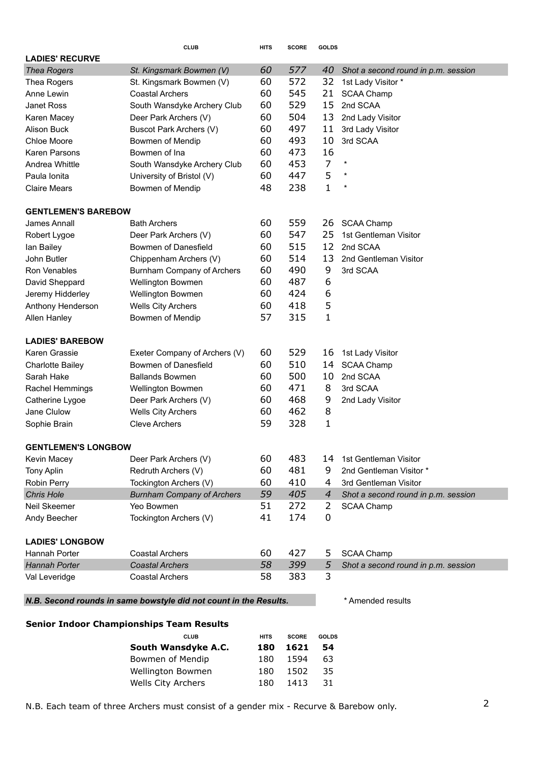|                                                                   | CL UB                                           | HITS        | <b>SCORE</b> | <b>GOLDS</b>      |                                     |
|-------------------------------------------------------------------|-------------------------------------------------|-------------|--------------|-------------------|-------------------------------------|
| <b>LADIES' RECURVE</b>                                            |                                                 |             |              |                   |                                     |
| <b>Thea Rogers</b>                                                | St. Kingsmark Bowmen (V)                        | 60          | 577          | 40                | Shot a second round in p.m. session |
| Thea Rogers                                                       | St. Kingsmark Bowmen (V)                        | 60          | 572          | 32                | 1st Lady Visitor *                  |
| Anne Lewin                                                        | <b>Coastal Archers</b>                          | 60          | 545          | 21                | <b>SCAA Champ</b>                   |
| Janet Ross                                                        | South Wansdyke Archery Club                     | 60          | 529          | 15                | 2nd SCAA                            |
| Karen Macey                                                       | Deer Park Archers (V)                           | 60          | 504          | 13                | 2nd Lady Visitor                    |
| <b>Alison Buck</b>                                                | Buscot Park Archers (V)                         | 60          | 497          | 11                | 3rd Lady Visitor                    |
| <b>Chloe Moore</b>                                                | Bowmen of Mendip                                | 60          | 493          | 10                | 3rd SCAA                            |
| Karen Parsons                                                     | Bowmen of Ina                                   | 60          | 473          | 16                |                                     |
| Andrea Whittle                                                    | South Wansdyke Archery Club                     | 60          | 453          | $\overline{7}$    | $\ast$                              |
| Paula Ionita                                                      | University of Bristol (V)                       | 60          | 447          | 5                 | $^\star$                            |
| <b>Claire Mears</b>                                               | Bowmen of Mendip                                | 48          | 238          | $\mathbf{1}$      | $\ast$                              |
| <b>GENTLEMEN'S BAREBOW</b>                                        |                                                 |             |              |                   |                                     |
| James Annall                                                      | <b>Bath Archers</b>                             | 60          | 559          | 26                | <b>SCAA Champ</b>                   |
| Robert Lygoe                                                      | Deer Park Archers (V)                           | 60          | 547          | 25                | 1st Gentleman Visitor               |
| lan Bailey                                                        | Bowmen of Danesfield                            | 60          | 515          | 12                | 2nd SCAA                            |
| John Butler                                                       | Chippenham Archers (V)                          | 60          | 514          | 13                | 2nd Gentleman Visitor               |
| Ron Venables                                                      | Burnham Company of Archers                      | 60          | 490          | 9                 | 3rd SCAA                            |
| David Sheppard                                                    | Wellington Bowmen                               | 60          | 487          | 6                 |                                     |
| Jeremy Hidderley                                                  | Wellington Bowmen                               | 60          | 424          | 6                 |                                     |
| Anthony Henderson                                                 | <b>Wells City Archers</b>                       | 60          | 418          | 5                 |                                     |
| Allen Hanley                                                      | Bowmen of Mendip                                | 57          | 315          | $\mathbf 1$       |                                     |
| <b>LADIES' BAREBOW</b>                                            |                                                 |             |              |                   |                                     |
| Karen Grassie                                                     | Exeter Company of Archers (V)                   | 60          | 529          | 16                | 1st Lady Visitor                    |
| <b>Charlotte Bailey</b>                                           | Bowmen of Danesfield                            | 60          | 510          | 14                | <b>SCAA Champ</b>                   |
| Sarah Hake                                                        | <b>Ballands Bowmen</b>                          | 60          | 500          | 10                | 2nd SCAA                            |
| Rachel Hemmings                                                   | Wellington Bowmen                               | 60          | 471          | 8                 | 3rd SCAA                            |
| Catherine Lygoe                                                   | Deer Park Archers (V)                           | 60          | 468          | 9                 | 2nd Lady Visitor                    |
| Jane Clulow                                                       | <b>Wells City Archers</b>                       | 60          | 462          | 8                 |                                     |
| Sophie Brain                                                      | <b>Cleve Archers</b>                            | 59          | 328          | $\mathbf{1}$      |                                     |
| <b>GENTLEMEN'S LONGBOW</b>                                        |                                                 |             |              |                   |                                     |
| Kevin Macey                                                       | Deer Park Archers (V)                           | 60          | 483          | 14                | 1st Gentleman Visitor               |
| Tony Aplin                                                        | Redruth Archers (V)                             | 60          | 481          | 9                 | 2nd Gentleman Visitor *             |
| Robin Perry                                                       | Tockington Archers (V)                          | 60          | 410          | 4                 | 3rd Gentleman Visitor               |
| <b>Chris Hole</b>                                                 | <b>Burnham Company of Archers</b>               | 59          | 405          | $\overline{4}$    | Shot a second round in p.m. session |
| Neil Skeemer                                                      | Yeo Bowmen                                      | 51          | 272          | 2                 | <b>SCAA Champ</b>                   |
| Andy Beecher                                                      | Tockington Archers (V)                          | 41          | 174          | 0                 |                                     |
| <b>LADIES' LONGBOW</b>                                            |                                                 |             |              |                   |                                     |
| <b>Hannah Porter</b>                                              | <b>Coastal Archers</b>                          | 60          | 427          | 5                 | <b>SCAA Champ</b>                   |
| Hannah Porter                                                     | <b>Coastal Archers</b>                          | 58          | 399          | 5                 | Shot a second round in p.m. session |
| Val Leveridge                                                     | <b>Coastal Archers</b>                          | 58          | 383          | 3                 |                                     |
| N.B. Second rounds in same bowstyle did not count in the Results. |                                                 |             |              | * Amended results |                                     |
|                                                                   |                                                 |             |              |                   |                                     |
|                                                                   | <b>Senior Indoor Championships Team Results</b> |             |              |                   |                                     |
|                                                                   | <b>CLUB</b>                                     | HITS        | <b>SCORE</b> | <b>GOLDS</b>      |                                     |
|                                                                   | South Wansdyke A.C.<br>Bowmen of Mendin         | 180<br>1.80 | 1621<br>1594 | 54<br>63          |                                     |
|                                                                   |                                                 |             |              |                   |                                     |

| Bowmen of Mendip   | 180 1594    | 63 |  |
|--------------------|-------------|----|--|
| Wellington Bowmen  | 180 1502 35 |    |  |
| Wells City Archers | 180 1413 31 |    |  |
|                    |             |    |  |

N.B. Each team of three Archers must consist of a gender mix - Recurve & Barebow only.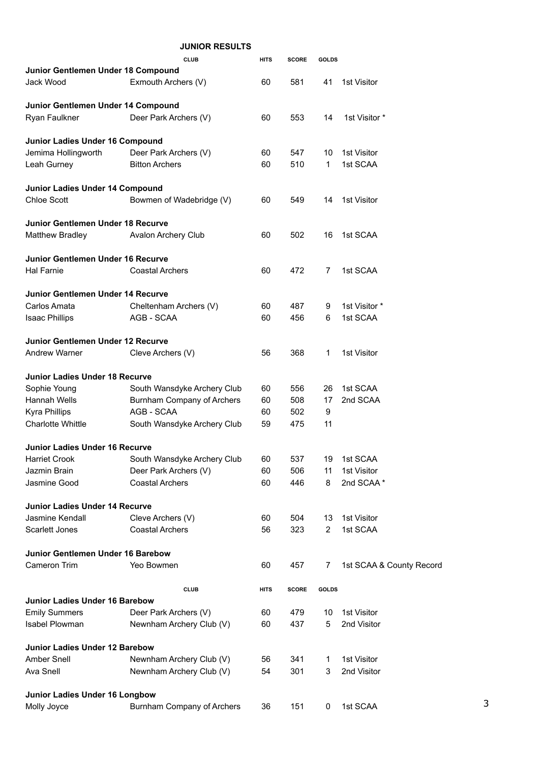|                                          | <b>JUNIOR RESULTS</b>       |             |              |                |                          |
|------------------------------------------|-----------------------------|-------------|--------------|----------------|--------------------------|
|                                          | <b>CLUB</b>                 | <b>HITS</b> | <b>SCORE</b> | <b>GOLDS</b>   |                          |
| Junior Gentlemen Under 18 Compound       |                             |             |              |                |                          |
| Jack Wood                                | Exmouth Archers (V)         | 60          | 581          | 41             | 1st Visitor              |
| Junior Gentlemen Under 14 Compound       |                             |             |              |                |                          |
| Ryan Faulkner                            | Deer Park Archers (V)       | 60          | 553          | 14             | 1st Visitor *            |
| Junior Ladies Under 16 Compound          |                             |             |              |                |                          |
| Jemima Hollingworth                      | Deer Park Archers (V)       | 60          | 547          | 10             | 1st Visitor              |
| Leah Gurney                              | <b>Bitton Archers</b>       | 60          | 510          | $\mathbf{1}$   | 1st SCAA                 |
| Junior Ladies Under 14 Compound          |                             |             |              |                |                          |
| <b>Chloe Scott</b>                       | Bowmen of Wadebridge (V)    | 60          | 549          | 14             | 1st Visitor              |
| Junior Gentlemen Under 18 Recurve        |                             |             |              |                |                          |
| Matthew Bradley                          | <b>Avalon Archery Club</b>  | 60          | 502          | 16             | 1st SCAA                 |
| <b>Junior Gentlemen Under 16 Recurve</b> |                             |             |              |                |                          |
| Hal Farnie                               | <b>Coastal Archers</b>      | 60          | 472          | 7              | 1st SCAA                 |
| <b>Junior Gentlemen Under 14 Recurve</b> |                             |             |              |                |                          |
| Carlos Amata                             | Cheltenham Archers (V)      | 60          | 487          | 9              | 1st Visitor *            |
| <b>Isaac Phillips</b>                    | AGB - SCAA                  | 60          | 456          | 6              | 1st SCAA                 |
| Junior Gentlemen Under 12 Recurve        |                             |             |              |                |                          |
| <b>Andrew Warner</b>                     | Cleve Archers (V)           | 56          | 368          | 1              | 1st Visitor              |
| <b>Junior Ladies Under 18 Recurve</b>    |                             |             |              |                |                          |
| Sophie Young                             | South Wansdyke Archery Club | 60          | 556          | 26             | 1st SCAA                 |
| <b>Hannah Wells</b>                      | Burnham Company of Archers  | 60          | 508          | 17             | 2nd SCAA                 |
| <b>Kyra Phillips</b>                     | AGB - SCAA                  | 60          | 502          | 9              |                          |
| <b>Charlotte Whittle</b>                 | South Wansdyke Archery Club | 59          | 475          | 11             |                          |
| <b>Junior Ladies Under 16 Recurve</b>    |                             |             |              |                |                          |
| <b>Harriet Crook</b>                     | South Wansdyke Archery Club | 60          | 537          | 19             | 1st SCAA                 |
| Jazmin Brain                             | Deer Park Archers (V)       | 60          | 506          | 11             | 1st Visitor              |
| Jasmine Good                             | <b>Coastal Archers</b>      | 60          | 446          | 8              | 2nd SCAA*                |
| <b>Junior Ladies Under 14 Recurve</b>    |                             |             |              |                |                          |
| Jasmine Kendall                          | Cleve Archers (V)           | 60          | 504          | 13             | 1st Visitor              |
| Scarlett Jones                           | <b>Coastal Archers</b>      | 56          | 323          | $\overline{2}$ | 1st SCAA                 |
| Junior Gentlemen Under 16 Barebow        |                             |             |              |                |                          |
| Cameron Trim                             | Yeo Bowmen                  | 60          | 457          | 7              | 1st SCAA & County Record |
|                                          | CI UB                       | <b>HITS</b> | <b>SCORE</b> | <b>GOLDS</b>   |                          |
| <b>Junior Ladies Under 16 Barebow</b>    |                             |             |              |                |                          |
| <b>Emily Summers</b>                     | Deer Park Archers (V)       | 60          | 479          | 10             | 1st Visitor              |
| Isabel Plowman                           | Newnham Archery Club (V)    | 60          | 437          | 5              | 2nd Visitor              |
| <b>Junior Ladies Under 12 Barebow</b>    |                             |             |              |                |                          |
| Amber Snell                              | Newnham Archery Club (V)    | 56          | 341          | 1              | 1st Visitor              |
| Ava Snell                                | Newnham Archery Club (V)    | 54          | 301          | 3              | 2nd Visitor              |
| <b>Junior Ladies Under 16 Longbow</b>    |                             |             |              |                |                          |
| Molly Joyce                              | Burnham Company of Archers  | 36          | 151          | 0              | 1st SCAA                 |
|                                          |                             |             |              |                |                          |

3